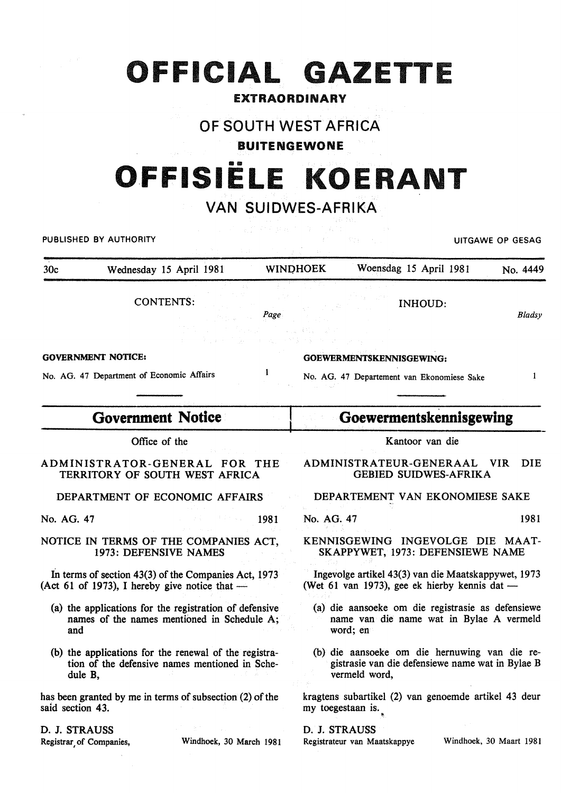## **OFFICIAL GAZETTE**

### EXTRAORDINARY

## OF SOUTH WEST AFRICA

BUITENGEWONE

# •• **O.FFISIELE KOERANT**

## VAN SUIDWES-AFRIKA

| PUBLISHED BY AUTHORITY                                                                                             | UITGAWE OP GESAG                                                                                                   |               |
|--------------------------------------------------------------------------------------------------------------------|--------------------------------------------------------------------------------------------------------------------|---------------|
| 30 <sub>c</sub><br>Wednesday 15 April 1981                                                                         | <b>WINDHOEK</b><br>Woensdag 15 April 1981<br>No. 4449                                                              |               |
| <b>CONTENTS:</b><br>Page                                                                                           | <b>INHOUD:</b>                                                                                                     | <b>Bladsy</b> |
| <b>GOVERNMENT NOTICE:</b>                                                                                          | <b>GOEWERMENTSKENNISGEWING:</b>                                                                                    |               |
| 1<br>No. AG. 47 Department of Economic Affairs                                                                     | No. AG. 47 Departement van Ekonomiese Sake                                                                         | 1             |
| <b>Government Notice</b>                                                                                           | Goewermentskennisgewing                                                                                            |               |
| Office of the                                                                                                      | Kantoor van die                                                                                                    |               |
| ADMINISTRATOR-GENERAL FOR THE<br>TERRITORY OF SOUTH WEST AFRICA                                                    | ADMINISTRATEUR-GENERAAL<br>VIR –<br><b>GEBIED SUIDWES-AFRIKA</b>                                                   | DIE.          |
| DEPARTMENT OF ECONOMIC AFFAIRS                                                                                     | DEPARTEMENT VAN EKONOMIESE SAKE                                                                                    |               |
| No. AG. 47<br>1981                                                                                                 | No. AG. 47                                                                                                         | 1981          |
| NOTICE IN TERMS OF THE COMPANIES ACT,<br>1973: DEFENSIVE NAMES                                                     | KENNISGEWING INGEVOLGE DIE MAAT-<br>SKAPPYWET, 1973: DEFENSIEWE NAME                                               |               |
| In terms of section $43(3)$ of the Companies Act, 1973<br>(Act 61 of 1973), I hereby give notice that $-$          | Ingevolge artikel 43(3) van die Maatskappywet, 1973<br>(Wet 61 van 1973), gee ek hierby kennis dat —               |               |
| (a) the applications for the registration of defensive<br>names of the names mentioned in Schedule A;<br>and       | (a) die aansoeke om die registrasie as defensiewe<br>name van die name wat in Bylae A vermeld<br>word; en          |               |
| (b) the applications for the renewal of the registra-<br>tion of the defensive names mentioned in Sche-<br>dule B, | (b) die aansoeke om die hernuwing van die re-<br>gistrasie van die defensiewe name wat in Bylae B<br>vermeld word, |               |
| has been granted by me in terms of subsection (2) of the<br>said section 43.                                       | kragtens subartikel (2) van genoemde artikel 43 deur<br>my toegestaan is.                                          |               |
| D. J. STRAUSS<br>Registrar of Companies,<br>Windhoek, 30 March 1981                                                | D. J. STRAUSS<br>Windhoek, 30 Maart 1981<br>Registrateur van Maatskappye                                           |               |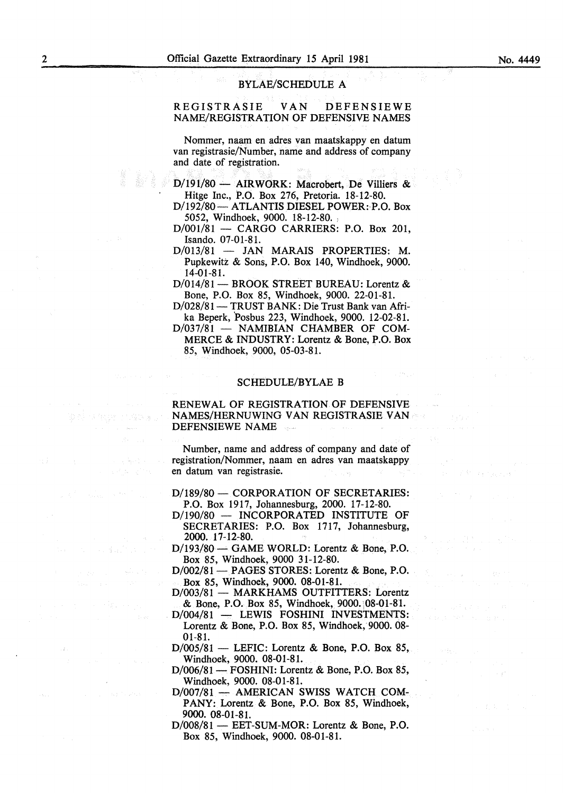#### BYLAE/SCHEDULE A

### REGISTRASIE VAN DEFENSIEWE NAME/REGISTRATION OF DEFENSIVE NAMES

Nommer, naam en adres van maatskappy en datum van registrasie/Number, name and address of company and date of registration.

- D/191/80 AIRWORK: Macrobert, De Villiers & Hitge Inc., P.O. Box 276, Pretoria. 18-12-80.
- D/192/80- ATLANTIS DIESEL POWER:·P.O. Box 5052, Windhoek, 9000. 18-12-80. )
- D/001/81 CARGO CARRIERS: P.O. Box 201, Isando. 07-01-81.
- D/013/81 JAN MARAIS PROPERTIES: M. Pupkewitz & Sons, P.O. Box 140, Windhoek, 9000. 14-01-81.

D/014/81 - BROOK STREET BUREAU: Lorentz & Bone, P.O. Box 85, Windhoek, 9000. 22-01-81.

- D/028/81 TRUST BANK: Die Trust Bank van Afrika Beperk, Posbus 223, Windhoek, 9000. 12-02-81.
- D/037/81 NAMIBIAN CHAMBER OF COM-MERCE & INDUSTRY: Lorentz & Bone, P.O. Box 85, Windhoek, 9000, 05-03-81.

#### SCHEDULE/BYLAE B

RENEWAL OF REGISTRATION OF DEFENSIVE NAMES/HERNUWING VAN REGISTRASIE VAN DEFENSIEWE NAME

Number, name and address of company and date of registration/Nommer, naam en adres van maatskappy en datum van registrasie.

D/189/80 - CORPORATION OF SECRETARIES: P.O. Box 1917, Johannesburg, 2000. 17-12-80.

D/190/80 - INCORPORATED INSTITUTE OF SECRETARIES: P.O. Box 1717, Johannesburg, 2000. 17-12~80.

D/193/80 - GAME WORLD: Lorentz & Bone, P.O. Box 85, Windhoek, 9000 31-12-80.

- D/002/81 PAGES STORES: Lorentz & Bone, P.O. Box 85, Windhoek, 9000. 08-01-81.
- D/003/81 MARKHAMS OUTFITTERS: Lorentz & Bone, P.O. Box 85, Windhoek, 9000. ;08-01-81.
- D/004/81 LEWIS FOSHINI INVESTMENTS: Lorentz & Bone, P.O. Box 85, Windhoek, 9000. 08- 01-81.
- $D/005/81$  LEFIC: Lorentz & Bone, P.O. Box 85, Windhoek, 9000. 08-01-81.
- D/006/81 FOSHINI: Lorentz & Bone, P.O. Box 85, Windhoek, 9000. 08-01-81.
- D/007/81 AMERICAN SWISS WATCH COM-PANY: Lorentz & Bone, P.O. Box 85, Windhoek, 9000. 08-01-81.
- D/008/81 EET-SUM-MOR: Lorentz & Bone, P.O. Box 85, Windhoek, 9000. 08-01-81.

医神经中枢 计内容数 医同时

 $\omega = m_{\rm{B}} \sim \frac{1}{2}$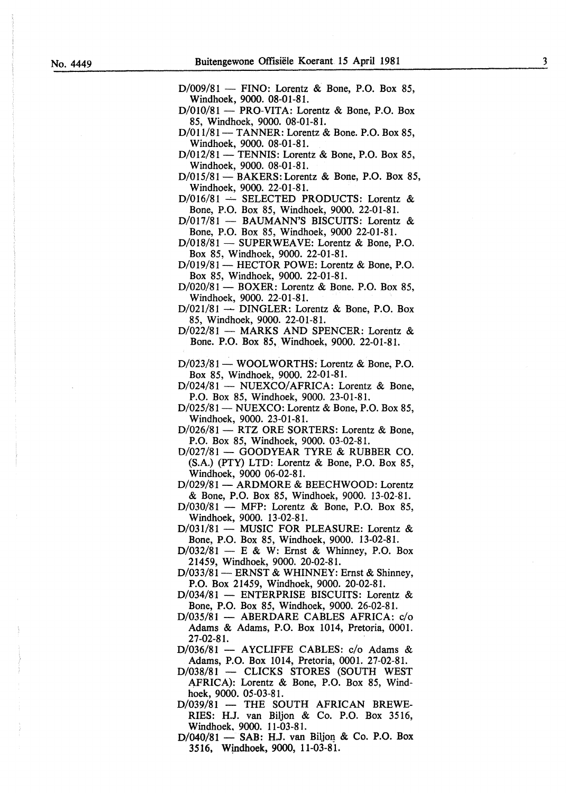$D/009/81$  — FINO: Lorentz & Bone, P.O. Box 85, Windhoek, 9000. 08-01-81.

 $D/010/81$  - PRO-VITA: Lorentz & Bone, P.O. Box 85, Windhoek, 9000. 08-01-81.

 $D/011/81$  - TANNER: Lorentz & Bone. P.O. Box 85, Windhoek, 9000. 08-01-81.

 $D/012/81$  - TENNIS: Lorentz & Bone, P.O. Box 85, Windhoek, 9000. 08-01-81.

 $D/015/81$  - BAKERS: Lorentz & Bone, P.O. Box 85, Windhoek, 9000. 22-01-81.

 $D/016/81$  -- SELECTED PRODUCTS: Lorentz & Bone, P.O. Box 85, Windhoek, 9000. 22-01-81.

D/017/81 - BAUMANN'S BISCUITS: Lorentz & Bone, P.O. Box 85, Windhoek, 9000 22-01-81.

D/018/81 - SUPERWEAVE: Lorentz & Bone, P.O. Box 85, Windhoek, 9000. 22-01-81.

D/019/81 - HECTOR POWE: Lorentz & Bone, P.O. Box 85, Windhoek, 9000. 22-01-81.

D/020/81 — BOXER: Lorentz & Bone. P.O. Box 85, Windhoek, 9000. 22-01-81.

 $D/021/81$  - DINGLER: Lorentz & Bone, P.O. Box 85, Windhoek, 9000. 22-01-81.

D/022/81 — MARKS AND SPENCER: Lorentz & Bone. P.O. Box 85, Windhoek, 9000. 22-01-81.

D/023/81 - WOOLWORTHS: Lorentz & Bone, P.O. Box 85, Windhoek, 9000. 22-01-81.

D/024/81 - NUEXCO/AFRICA: Lorentz & Bone, P.O. Box 85, Windhoek, 9000. 23-01-81.

 $D/025/81$  – NUEXCO: Lorentz & Bone, P.O. Box 85, Windhoek, 9000. 23-01-81.

 $D/026/81$  - RTZ ORE SORTERS: Lorentz & Bone, P.O. Box 85, Windhoek, 9000. 03-02-81.

D/027/81 - GOODYEAR TYRE & RUBBER CO. (S.A.) (PTY) LTD: Lorentz & Bone, P.O. Box 85, Windhoek, 9000 06-02-81.

D/029/81 - ARDMORE & BEECHWOOD: Lorentz & Bone, P.O. Box 85, Windhoek, 9000. 13-02-81.

 $D/030/81$  — MFP: Lorentz & Bone, P.O. Box 85, Windhoek, 9000. 13-02-81.

D/031/81 - MUSIC FOR PLEASURE: Lorentz & Bone, P.O. Box 85, Windhoek, 9000. 13-02-81.

 $D/032/81 - E$  & W: Ernst & Whinney, P.O. Box 21459, Windhoek, 9000. 20-02-81.

D/033/81 - ERNST & WHINNEY: Ernst & Shinney, P.O. Box 21459, Windhoek, 9000. 20-02-81.

D/034/81 - ENTERPRISE BISCUITS: Lorentz & Bone, P.O. Box 85, Windhoek, 9000. 26-02-81.

D/035/81 - ABERDARE CABLES AFRICA: c/o Adams & Adams, P.O. Box 1014, Pretoria, 0001. 27-02-81.

D/036/81 - AYCLIFFE CABLES: c/o Adams & Adams, P.O. Box 1014, Pretoria, 0001. 27-02-81.

D/038/81 - CLICKS STORES (SOUTH WEST AFRICA): Lorentz & Bone, P.O. Box 85, Windhoek, 9000. 05-03-81.

D/039/81 - THE SOUTH AFRICAN BREWE-RIES: H.J. van Biljon & Co. P.O. Box 3516, Windhoek, 9000. 11-03-81.

D/040/81 - SAB: H.J. van Biljon & Co. P.O. Box 3516, Windhoek, 9000, 11-03-81.